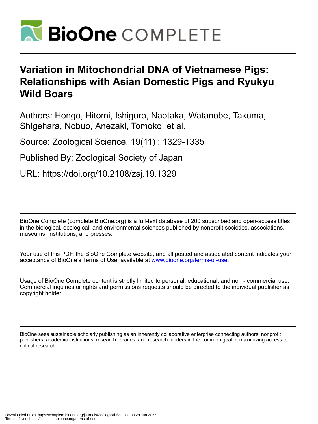

# **Variation in Mitochondrial DNA of Vietnamese Pigs: Relationships with Asian Domestic Pigs and Ryukyu Wild Boars**

Authors: Hongo, Hitomi, Ishiguro, Naotaka, Watanobe, Takuma, Shigehara, Nobuo, Anezaki, Tomoko, et al.

Source: Zoological Science, 19(11) : 1329-1335

Published By: Zoological Society of Japan

URL: https://doi.org/10.2108/zsj.19.1329

BioOne Complete (complete.BioOne.org) is a full-text database of 200 subscribed and open-access titles in the biological, ecological, and environmental sciences published by nonprofit societies, associations, museums, institutions, and presses.

Your use of this PDF, the BioOne Complete website, and all posted and associated content indicates your acceptance of BioOne's Terms of Use, available at www.bioone.org/terms-of-use.

Usage of BioOne Complete content is strictly limited to personal, educational, and non - commercial use. Commercial inquiries or rights and permissions requests should be directed to the individual publisher as copyright holder.

BioOne sees sustainable scholarly publishing as an inherently collaborative enterprise connecting authors, nonprofit publishers, academic institutions, research libraries, and research funders in the common goal of maximizing access to critical research.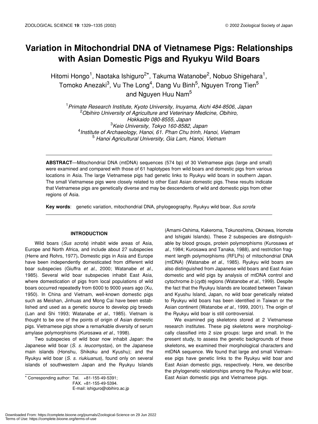# **Variation in Mitochondrial DNA of Vietnamese Pigs: Relationships with Asian Domestic Pigs and Ryukyu Wild Boars**

Hitomi Hongo<sup>1</sup>, Naotaka Ishiguro<sup>2\*</sup>, Takuma Watanobe<sup>2</sup>, Nobuo Shigehara<sup>1</sup>, Tomoko Anezaki<sup>3</sup>, Vu The Long<sup>4</sup>, Dang Vu Binh<sup>5</sup>, Nguyen Trong Tien<sup>5</sup> and Nguyen Huu Nam<sup>5</sup>

 *Primate Research Institute, Kyoto University, Inuyama, Aichi 484-8506, Japan Obihiro University of Agriculture and Veterinary Medicine, Obihiro, Hokkaido 080-8555, Japan Keio University, Tokyo 160-8582, Japan Institute of Archaeology, Hanoi, 61. Phan Chu trinh, Hanoi, Vietnam Hanoi Agricultural University, Gia Lam, Hanoi, Vietnam*

**ABSTRACT**—Mitochondrial DNA (mtDNA) sequences (574 bp) of 30 Vietnamese pigs (large and small) were examined and compared with those of 61 haplotypes from wild boars and domestic pigs from various locations in Asia. The large Vietnamese pigs had genetic links to Ryukyu wild boars in southern Japan. The small Vietnamese pigs were closely related to other East Asian domestic pigs. These results indicate that Vietnamese pigs are genetically diverse and may be descendents of wild and domestic pigs from other regions of Asia.

**Key words**: genetic variation, mitochondrial DNA, phylogeography, Ryukyu wild boar, *Sus scrofa*

# **INTRODUCTION**

Wild boars (*Sus scrofa*) inhabit wide areas of Asia, Europe and North Africa, and include about 27 subspecies (Herre and Rohrs, 1977)**.** Domestic pigs in Asia and Europe have been independently domesticated from different wild boar subspecies (Giuffra *et al*., 2000; Watanabe *et al*., 1985). Several wild boar subspecies inhabit East Asia, where domestication of pigs from local populations of wild boars occurred repeatedly from 6000 to 9000 years ago (Xu, 1950). In China and Vietnam, well-known domestic pigs such as Meishan, Jinhuas and Mong Cai have been established and used as a genetic source to develop pig breeds (Lan and Shi 1993; Watanabe *et al*., 1985). Vietnam is thought to be one of the points of origin of Asian domestic pigs. Vietnamese pigs show a remarkable diversity of serum amylase polymorphisms (Kurosawa *et al*., 1998).

Two subspecies of wild boar now inhabit Japan: the Japanese wild boar (*S. s. leucomystax*), on the Japanese main islands (Honshu, Shikoku and Kyushu); and the Ryukyu wild boar (*S. s. riukiuanus*), found only on several islands of southwestern Japan and the Ryukyu Islands

FAX. +81-155-49-5394. E-mail: ishiguro@obihiro.ac.jp

(Amami-Oshima, Kakeroma, Tokunoshima, Okinawa, Iriomote and Ishigaki Islands). These 2 subspecies are distinguishable by blood groups, protein polymorphisms (Kurosawa *et al*., 1984; Kurosawa and Tanaka, 1988), and restriction fragment length polymorphisms (RFLPs) of mitochondrial DNA (mtDNA) (Watanabe *et al.*, 1985). Ryukyu wild boars are also distinguished from Japanese wild boars and East Asian domestic and wild pigs by analysis of mtDNA control and cytochrome *b* (*cytb*) regions (Watanobe *et al.,* 1999). Despite the fact that the Ryukyu Islands are located between Taiwan and Kyushu Island, Japan, no wild boar genetically related to Ryukyu wild boars has been identified in Taiwan or the Asian continent (Watanobe *et al.,* 1999, 2001). The origin of the Ryukyu wild boar is still controversial.

We examined pig skeletons stored at 2 Vietnamese research institutes. These pig skeletons were morphologically classified into 2 size groups: large and small. In the present study, to assess the genetic backgrounds of these skeletons, we examined their morphological characters and mtDNA sequence. We found that large and small Vietnamese pigs have genetic links to the Ryukyu wild boar and East Asian domestic pigs, respectively. Here, we describe the phylogenetic relationships among the Ryukyu wild boar, \* Corresponding author: Tel. +81-155-49-5391; East Asian domestic pigs and Vietnamese pigs.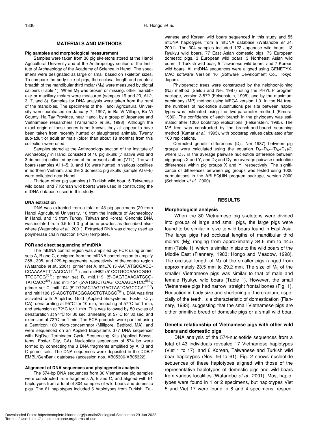#### **MATERIALS AND METHODS**

#### **Pig samples and morphological measurement**

Samples were taken from 30 pig skeletons stored at the Hanoi Agricultural University and at the Anthropology section of the Institute of Archaeology of the Academy of Science in Hanoi. The specimens were designated as large or small based on skeleton sizes. To compare the body size of pigs, the occlusal length and greatest breadth of the mandibular third molar  $(M_3)$  were measured by digital calipers (Table 1). When  $M_3$  was broken or missing, other mandibular or maxillary molars were measured (samples 19 and 20, AI 2, 3, 7, and 8). Samples for DNA analysis were taken from the rami of the mandibles. The specimens of the Hanoi Agricultural University were purchased on January 7, 1997, in Ba Vi Village, Ba Vi County, Ha Tay Province, near Hanoi, by a group of Japanese and Vietnamese researchers (Yamamoto *et al.*, 1998). Although the exact origin of these bones is not known, they all appear to have been taken from recently hunted or slaughtered animals. Twenty sub-adult or adult animals (older than about 18 months) from this collection were used.

Samples stored at the Anthropology section of the Institute of Archaeology in Hanoi consisted of 10 pig skulls (7 native wild and 3 domestic) collected by one of the present authors (VTL). The wild boars (samples AI 1–5, 9, and 10) were hunted in various localities in northern Vietnam, and the 3 domestic pig skulls (sample AI 6–8) were collected near Hanoi.

Thirteen other pig samples (1 Turkish wild boar, 5 Taiwanese wild boars, and 7 Korean wild boars) were used in constructing the mtDNA database used in this study.

#### **DNA extraction**

DNA was extracted from a total of 43 pig specimens (20 from Hanoi Agricultural University, 10 from the Institute of Archaeology in Hanoi, and 13 from Turkey, Taiwan and Korea). Genomic DNA was isolated from 0.5 to 1.0 g of bone powder, as described elsewhere (Watanobe *et al*., 2001). Extracted DNA was directly used as polymerase chain reaction (PCR) templates.

#### **PCR and direct sequencing of mtDNA**

The mtDNA control region was amplified by PCR using primer sets A, B and C, designed from the mtDNA control region to amplify 258-, 305- and 229-bp segments, respectively, of the control region (Watanobe *et al*., 2001): primer set A, mitL76 (5'-AATATGCGACC-CCAAAAATTTAACCATT<sup>130</sup>) and mitH62 (5'-CCTGCCAAGCGGG-TTGCTGG351); primer set B, mitL119 (5'-CAGTCAACATGCG-TATCACC<sup>301</sup>) and mitH124 (5'-ATGGCTGAGTCCAAGCATCC<sup>567</sup>); primer set C, mitL104 (5'-TGGACTAGTGACTAATCAGCCCAT<sup>518</sup>) and mitH106 (5'-ACGTGTACGCACGTGTACGC<sup>704</sup>). DNA was first activated with AmpliTaq Gold (Applied Biosystems, Foster City, CA): denaturating at 95°C for 10 min, annealing at 57°C for 1 min, and extension at 72°C for 1 min. This was followed by 50 cycles of denaturation at 94°C for 30 sec, annealing at 57°C for 30 sec, and extension at 72°C for 1 min. The PCR products were purified using a Centricon 100 micro-concentrator (Millipore, Bedford, MA), and were sequenced on an Applied Biosystems 377 DNA sequencer with BigDye Terminator Cycle Sequencing Kits (Applied Biosystems, Foster City, CA). Nucleotide sequences of 574 bp were formed by connecting the 3 DNA fragments amplified by A, B and C primer sets. The DNA sequences were deposited in the DDBJ/ EMBL/GenBank database (accession nos. AB05306-AB05322).

# **Alignment of DNA sequences and phylogenetic analysis**

The 574-bp DNA sequences from 30 Vietnamese pig samples were constructed from fragments A, B and C, and aligned with 61 haplotypes from a total of 304 samples of wild boars and domestic pigs. The 61 haplotypes included 6 haplotypes from Turkish, Taiwanese and Korean wild boars sequenced in this study and 55 mtDNA haplotypes from a mtDNA database (Watanobe *et al*., 2001). The 304 samples included 122 Japanese wild boars, 13 Ryukyu wild boars, 77 East Asian domestic pigs, 73 European domestic pigs, 3 European wild boars, 3 Northeast Asian wild boars, 1 Turkish wild boar, 5 Taiwanese wild boars, and 7 Korean wild boars. All mtDNA sequences were aligned using GENETYX-MAC software Version 10 (Software Development Co., Tokyo, Japan).

Phylogenetic trees were constructed by the neighbor-joining (NJ) method (Saitou and Nei, 1987) using the PHYLIP program package, version 3.572 (Felsenstein, 1995), and by the maximum parsimony (MP) method using MEGA version 1.0. In the NJ tree, the numbers of nucleotide substitutions per site between haplotypes was estimated using the two-parameter method (Kimura, 1980). The confidence of each branch in the phylogeny was estimated after 1000 bootstrap replications (Felsenstein, 1985). The MP tree was constructed by the branch-and-bound searching method (Kumar *et al.*, 1993), with bootstrap values calculated after 100 replications.

Corrected genetic differences (DA: Nei 1987) between pig groups were calculated using the equation  $D_A=D_{XY}-(D_X+D_Y)/2$ , where  $D_{XY}$  is the average pairwise nucleotide difference between pig groups X and Y, and  $D_X$  and  $D_Y$  are average pairwise nucleotide differences within pig groups X and Y, respectively. The significance of differences between pig groups was tested using 1000 permutations in the ARLEQUIN program package, version 2000 (Schneider *et al.,* 2000).

#### **RESULTS**

#### **Morphological analysis**

When the 30 Vietnamese pig skeletons were divided into groups of large and small pigs, the large pigs were found to be similar in size to wild boars found in East Asia. The large pigs had occlusal lengths of mandibular third molars  $(M_3)$  ranging from approximately 34.6 mm to 44.5 mm (Table 1), which is similar in size to the wild boars of the Middle East (Flannery, 1983; Hongo and Meadow, 1998). The occlusal length of  $M_3$  of the smaller pigs ranged from approximately 23.5 mm to 29.2 mm. The size of  $M_3$  of the smaller Vietnamese pigs was similar to that of male and female Ryukyu wild boars (Table 1). However, the small Vietnamese pigs had narrow, straight frontal bones (Fig. 1). Reduction in body size and shortening of the cranium, especially of the teeth, is a characteristic of domestication (Flannery, 1983), suggesting that the small Vietnamese pigs are either primitive breed of domestic pigs or a small wild boar.

# **Genetic relationship of Vietnamese pigs with other wild boars and domestic pigs**

DNA analysis of the 574-nucleotide sequences from a total of 43 individuals revealed 17 Vietnamese haplotypes (Viet 1 to 17), and 6 Korean, Taiwanese and Turkish wild boar haplotypes (Nos. 56 to 61). Fig. 2 shows nucleotide sequences of these haplotypes aligned with those of the representative haplotypes of domestic pigs and wild boars from various localities (Watanobe *et al*., 2001). Most haplotypes were found in 1 or 2 specimens, but haplotypes Viet 5 and Viet 17 were found in 8 and 4 specimens, respec-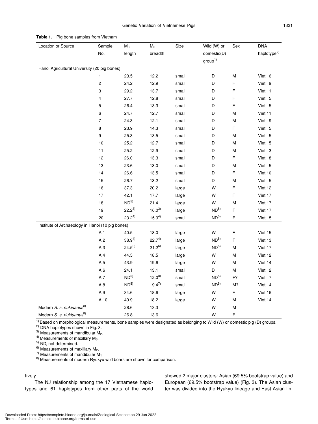| Location or Source                               | Sample                  | $M_3$           | $M_3$       | Size  | Wild (W) or        | Sex         | <b>DNA</b>              |
|--------------------------------------------------|-------------------------|-----------------|-------------|-------|--------------------|-------------|-------------------------|
|                                                  | No.                     | length          | breadth     |       | domestic(D)        |             | haplotype <sup>2)</sup> |
|                                                  |                         |                 |             |       | group <sup>1</sup> |             |                         |
| Hanoi Agricultural University (20 pig bones)     |                         |                 |             |       |                    |             |                         |
|                                                  | 1                       | 23.5            | 12.2        | small | D                  | М           | Viet 6                  |
|                                                  | $\overline{\mathbf{c}}$ | 24.2            | 12.9        | small | D                  | F           | Viet 9                  |
|                                                  | 3                       | 29.2            | 13.7        | small | D                  | F           | Viet 1                  |
|                                                  | 4                       | 27.7            | 12.8        | small | D                  | F           | Viet 5                  |
|                                                  | 5                       | 26.4            | 13.3        | small | D                  | F           | Viet 5                  |
|                                                  | 6                       | 24.7            | 12.7        | small | D                  | м           | Viet 11                 |
|                                                  | $\overline{7}$          | 24.3            | 12.1        | small | D                  | ${\sf M}$   | Viet 9                  |
|                                                  | 8                       | 23.9            | 14.3        | small | D                  | F           | Viet 5                  |
|                                                  | 9                       | 25.3            | 13.5        | small | D                  | М           | Viet 5                  |
|                                                  | 10                      | 25.2            | 12.7        | small | D                  | м           | Viet 5                  |
|                                                  | 11                      | 25.2            | 12.9        | small | D                  | М           | Viet 3                  |
|                                                  | 12                      | 26.0            | 13.3        | small | D                  | F           | Viet 8                  |
|                                                  | 13                      | 23.6            | 13.0        | small | D                  | M           | Viet 5                  |
|                                                  | 14                      | 26.6            | 13.5        | small | D                  | F           | Viet 10                 |
|                                                  | 15                      | 26.7            | 13.2        | small | D                  | M           | Viet 5                  |
|                                                  | 16                      | 37.3            | 20.2        | large | W                  | F           | Viet 12                 |
|                                                  | 17                      | 42.1            | 17.7        | large | W                  | F           | Viet 17                 |
|                                                  | 18                      | ND <sup>5</sup> | 21.4        | large | W                  | M           | Viet 17                 |
|                                                  | 19                      | $22.2^{3}$      | $16.0^{3}$  | large | ND <sup>5</sup>    | F           | Viet 17                 |
|                                                  | 20                      | $23.2^{4}$      | $15.9^{4)}$ | small | ND <sup>5</sup>    | $\mathsf F$ | Viet 5                  |
| Institute of Archaeology in Hanoi (10 pig bones) |                         |                 |             |       |                    |             |                         |
|                                                  | Al1                     | 40.5            | 18.0        | large | W                  | F           | Viet 15                 |
|                                                  | Al <sub>2</sub>         | $38.9^{4}$      | $22.7^{4}$  | large | ND <sup>5</sup>    | F           | Viet 13                 |
|                                                  | AI3                     | $24.5^{6}$      | $21.2^{6}$  | large | ND <sup>5</sup>    | М           | Viet 17                 |
|                                                  | AI4                     | 44.5            | 18.5        | large | W                  | M           | Viet 12                 |
|                                                  | AI <sub>5</sub>         | 43.9            | 19.6        | large | W                  | М           | Viet 14                 |
|                                                  | AI6                     | 24.1            | 13.1        | small | D                  | М           | Viet 2                  |
|                                                  | AI7                     | ND <sup>5</sup> | $12.0^{3}$  | small | ND <sup>5</sup>    | F?          | Viet 7                  |
|                                                  | Al8                     | ND <sup>5</sup> | $9.4^{7}$   | small | ND <sup>5</sup>    | M?          | Viet 4                  |
|                                                  | AI9                     | 34.6            | 18.6        | large | W                  | F           | Viet 16                 |
|                                                  | Al10                    | 40.9            | 18.2        | large | W                  | ${\sf M}$   | Viet 14                 |
| Modern S. s. riukiuanus <sup>8)</sup>            |                         | 28.6            | 13.3        |       | W                  | ${\sf M}$   |                         |
| Modern S. s. riukiuanus <sup>8)</sup>            |                         | 26.8            | 13.6        |       | W                  | F           |                         |

**Table 1.** Pig bone samples from Vietnam

 $\frac{1}{10}$  Based on morphological measurements, bone samples were designated as belonging to Wild (W) or domestic pig (D) groups.

<sup>2)</sup> DNA haplotypes shown in Fig. 3.<br><sup>3)</sup> Measurements of mandibular  $M_2$ .

<sup>4)</sup> Measurements of maxillary M<sub>3</sub>.<br><sup>5)</sup> ND, not determined.<br><sup>6)</sup> Measurements of maxillary M<sub>2</sub>.

<sup>7)</sup> Measurements of mandibular M<sub>1</sub><br><sup>8)</sup> Measurements of modern Ryukyu wild boars are shown for comparison.

# tively.

The NJ relationship among the 17 Vietnamese haplotypes and 61 haplotypes from other parts of the world showed 2 major clusters: Asian (69.5% bootstrap value) and European (69.5% bootstrap value) (Fig. 3). The Asian cluster was divided into the Ryukyu lineage and East Asian lin-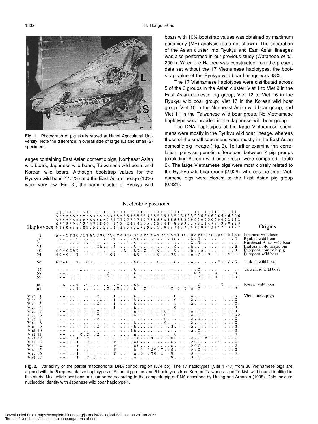

**Fig. 1.** Photograph of pig skulls stored at Hanoi Agricultural University. Note the difference in overall size of large (L) and small (S) specimens.

eages containing East Asian domestic pigs, Northeast Asian wild boars, Japanese wild boars, Taiwanese wild boars and Korean wild boars. Although bootstrap values for the Ryukyu wild boar (11.4%) and the East Asian lineage (10%) were very low (Fig. 3), the same cluster of Ryukyu wild boars with 10% bootstrap values was obtained by maximum parsimony (MP) analysis (data not shown). The separation of the Asian cluster into Ryukyu and East Asian lineages was also performed in our previous study (Watanobe *et al*., 2001). When the NJ tree was constructed from the present data set without the 17 Vietnamese haplotypes, the bootstrap value of the Ryukyu wild boar lineage was 68%.

The 17 Vietnamese haplotypes were distributed across 5 of the 6 groups in the Asian cluster: Viet 1 to Viet 9 in the East Asian domestic pig group; Viet 12 to Viet 16 in the Ryukyu wild boar group; Viet 17 in the Korean wild boar group; Viet 10 in the Northeast Asian wild boar group; and Viet 11 in the Taiwanese wild boar group. No Vietnamese haplotype was included in the Japanese wild boar group.

The DNA haplotypes of the large Vietnamese specimens were mostly in the Ryukyu wild boar lineage, whereas those of the small specimens were mostly in the East Asian domestic pig lineage (Fig. 3). To further examine this correlation, pairwise genetic differences between 7 pig groups (excluding Korean wild boar group) were compared (Table 2). The large Vietnamese pigs were most closely related to the Ryukyu wild boar group (2.926), whereas the small Vietnamese pigs were closest to the East Asian pig group (0.321).

| -1<br>16                                                                                                                                                                                                          | Haplotypes 5180836<br>739567178923560187<br>46<br>ብ 6<br>524<br>709756352<br>A - - TTGCTTTATTGCCTCCAGCCGTATTAATCTTATTGCCGATGCTGACCCATAG<br>$1 - 1$ , $1 - 2$ , $2 - 3$ , $3 - 4$ , $4$ , $5 - 4$ , $6 - 5$ , $7 - 6$ , $8 - 6$ , $9 - 6$ , $1 - 6$ , $1 - 6$ , $1 - 6$ , $1 - 6$ , $1 - 6$ , $1 - 6$ , $1 - 6$ , $1 - 6$          | -5.<br>2 | Origins<br>Japanese wild boar |
|-------------------------------------------------------------------------------------------------------------------------------------------------------------------------------------------------------------------|-----------------------------------------------------------------------------------------------------------------------------------------------------------------------------------------------------------------------------------------------------------------------------------------------------------------------------------|----------|-------------------------------|
| 21<br>23<br>40<br>54                                                                                                                                                                                              | $-$ - $ \cdots$ $\cdots$ $\cdots$ $\cdots$ $\cdots$ $\cdots$ $\cdots$ $\cdots$ $\cdots$ $\cdots$ $\cdots$ $\cdots$ $\cdots$ $\cdots$ $\cdots$ $\cdots$ $\cdots$ $\cdots$ $\cdots$ $\cdots$ $\cdots$ $\cdots$ $\cdots$ $\cdots$ $\cdots$ $\cdots$ $\cdots$ $\cdots$ $\cdots$ $\cdots$ $\cdots$ $\cdots$ $\cdots$ $\cdots$ $\cdots$ |          | European wild boar            |
| -56                                                                                                                                                                                                               | $GC-CTCGACCCATG-G$ . Turkish wild boar                                                                                                                                                                                                                                                                                            |          |                               |
| 57<br>58<br>59                                                                                                                                                                                                    | $-$ - $ \cdots$ $\cdots$ $\cdots$ $\cdots$ $\cdots$ $\cdots$ $\cdots$ $\cdots$ $\cdots$ $\cdots$ $\cdots$ $\cdots$ $\cdots$ $\cdots$ $\cdots$ $\cdots$ $\cdots$ $\cdots$ Taiwanese wild boar                                                                                                                                      |          |                               |
| 60<br>61                                                                                                                                                                                                          | . - - T T T A C G . C . T . A . C G .                                                                                                                                                                                                                                                                                             |          |                               |
| Viet 1<br>Viet<br>$\overline{2}$<br>3<br>Viet<br>Viet 4<br>5<br><b>Viet</b><br>Viet<br>6<br>Viet<br>Viet 8<br>Viet<br>- 9<br>Viet 10<br>Viet 11<br>Viet 12<br>Viet 13<br>Viet 14<br>Viet 15<br>Viet 16<br>Viet 17 | $-$ - $ \cdots$ $\cdots$ $\cdots$ $\cdots$ $\cdots$ $\cdots$ $\cdots$ $\cdots$ $\cdots$ $\cdots$ $\cdots$ $\cdots$ $\cdots$ $\cdots$ $\cdots$ $\cdots$ $\cdots$ $\cdots$ $\cdots$ $\cdots$ $\cdots$ $\cdots$ $\cdots$ $\cdots$ $\cdots$ $\cdots$ $\cdots$ $\cdots$ $\cdots$ $\cdots$ $\cdots$ $\cdots$ $\cdots$ $\cdots$ $\cdots$ |          |                               |

**Fig. 2.** Variability of the partial mitochondrial DNA control region (574 bp). The 17 haplotypes (Viet 1 -17) from 30 Vietnamese pigs are aligned with the 6 representative haplotypes of Asian pig groups and 6 haplotypes from Korean, Taiwanese and Turkish wild boars identified in this study. Nucleotide positions are numbered according to the complete pig mtDNA described by Ursing and Arnason (1998). Dots indicate nucleotide identity with Japanese wild boar haplotype 1.

### Nucleotide positions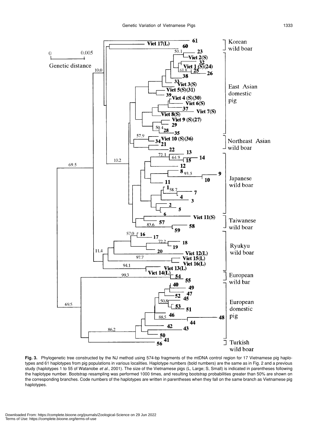

Fig. 3. Phylogenetic tree constructed by the NJ method using 574-bp fragments of the mtDNA control region for 17 Vietnamese pig haplotypes and 61 haplotypes from pig populations in various localities. Haplotype numbers (bold numbers) are the same as in Fig. 2 and a previous study (haplotypes 1 to 55 of Watanobe *et al.*, 2001). The size of the Vietnamese pigs (L, Large; S, Small) is indicated in parentheses following the haplotype number. Bootstrap resampling was performed 1000 times, and resulting bootstrap probabilities greater than 50% are shown on the corresponding branches. Code numbers of the haplotypes are written in parentheses when they fall on the same branch as Vietnamese pig haplotypes.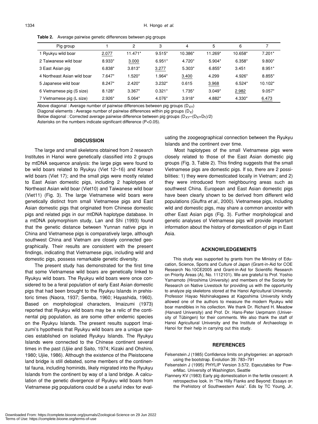**Table 2.** Average pairwise genetic differences between pig groups

| Pig group                   |          | 2         | 3        | 4        | 5        | 6        |           |
|-----------------------------|----------|-----------|----------|----------|----------|----------|-----------|
| 1 Ryukyu wild boar          | 2.077    | $11.471*$ | $9.515*$ | 10.386*  | 11.269*  | 10.658*  | $7.201*$  |
| 2 Taiwanese wild boar       | 8.933*   | 3.000     | $6.951*$ | 4.720*   | 5.904*   | $6.358*$ | $9.800*$  |
| 3 East Asian pig            | 6.838*   | $3.813*$  | 3.277    | $5.303*$ | $6.855*$ | 3.451    | 8.951*    |
| 4 Northeast Asian wild boar | $7.647*$ | $1.520*$  | 1.964*   | 3.400    | 4.299    | 4.926*   | 8.855*    |
| 5 Japanese wild boar        | $8.247*$ | $2.420*$  | $3.232*$ | 0.615    | 3.968    | $6.524*$ | $10.102*$ |
| 6 Vietnamese pig (S size)   | $8.128*$ | $3.367*$  | $0.321*$ | 1.735*   | $3.049*$ | 2.982    | $9.057*$  |
| 7 Vietnamese pig (L size)   | $2.926*$ | $5.064*$  | 4.076*   | $3.918*$ | 4.882*   | 4.330*   | 6.473     |

Above diagonal : Average number of pairwise differences between pig groups  $(D_{XY})$ 

Diagonal elements : Average number of pairwise differences within pig groups  $(D_X)$ 

Below diagonal : Corrected average pairwise difference between pig groups  $(D_{XY}-(D_{X}+D_{Y})/2)$ 

Asterisks on the numbers indicate significant difference (P<0.05).

#### **DISCUSSION**

The large and small skeletons obtained from 2 research Institutes in Hanoi were genetically classified into 2 groups by mtDNA sequence analysis: the large pigs were found to be wild boars related to Ryukyu (Viet 12–16) and Korean wild boars (Viet 17); and the small pigs were mostly related to East Asian domestic pigs, including 2 haplotypes of Northeast Asian wild boar (Viet10) and Taiwanese wild boar (Viet11) (Fig. 3). The large Vietnamese wild boars were genetically distinct from small Vietnamese pigs and East Asian domestic pigs that originated from Chinese domestic pigs and related pigs in our mtDNA haplotype database. In a mtDNA polymorphism study, Lan and Shi (1993) found that the genetic distance between Yunnan native pigs in China and Vietnamese pigs is comparatively large, although southwest China and Vietnam are closely connected geographically. Their results are consistent with the present findings, indicating that Vietnamese pigs, including wild and domestic pigs, possess remarkable genetic diversity.

The present study has demonstrated for the first time that some Vietnamese wild boars are genetically linked to Ryukyu wild boars. The Ryukyu wild boars were once considered to be a feral population of early East Asian domestic pigs that had been brought to the Ryukyu Islands in prehistoric times (Naora, 1937; Semba, 1960; Hayashida, 1960). Based on morphological characters, Imaizumi (1973) reported that Ryukyu wild boars may be a relic of the continental pig population, as are some other endemic species on the Ryukyu Islands. The present results support Imaizumi's hypothesis that Ryukyu wild boars are a unique species established on isolated Ryukyu Islands. The Ryukyu Islands were connected to the Chinese continent several times in the past (Ujiie and Saito, 1974; Kizaki and Ohshiro, 1980; Ujiie, 1986). Although the existence of the Pleistocene land bridge is still debated, some members of the continental fauna, including hominids, likely migrated into the Ryukyu Islands from the continent by way of a land bridge. A calculation of the genetic divergence of Ryukyu wild boars from Vietnamese pig populations could be a useful index for evaluating the zoogeographical connection between the Ryukyu Islands and the continent over time.

Most haplotypes of the small Vietnamese pigs were closely related to those of the East Asian domestic pig groups (Fig. 3, Table 2). This finding suggests that the small Vietnamese pigs are domestic pigs. If so, there are 2 possibilities: 1) they were domesticated locally in Vietnam; and 2) they were introduced from neighbouring areas such as southwest China. European and East Asian domestic pigs have been clearly shown to be derived from different wild populations (Giuffra *et al.*, 2000). Vietnamese pigs, including wild and domestic pigs, may share a common ancestor with other East Asian pigs (Fig. 3). Further morphological and genetic analyses of Vietnamese pigs will provide important information about the history of domestication of pigs in East Asia.

# **ACKNOWLEDGEMENTS**

This study was supported by grants from the Ministry of Education, Science, Sports and Culture of Japan (Grant-in-Aid for COE Research No.10CE2005 and Grant-in-Aid for Scientific Research on Priority Areas (A), No. 1112101). We are grateful to Prof. Yoshio Yamamoto (Hiroshima University) and members of the Society for Research on Native Livestock for providing us with the opportunity to analyze pig skeletons stored at the Hanoi Agricultural University. Professor Hayao Nishinakagawa at Kagoshima University kindly allowed one of the authors to measure the modern Ryukyu wild boar mandibles in his collection. We thank Dr. Richard H. Meadow (Harvard University) and Prof. Dr. Hans-Peter Uerpmann (University of Tübingen) for their comments. We also thank the staff of Hanoi Agricultural University and the Institute of Archaeology in Hanoi for their help in carrying out this study.

#### **REFERENCES**

- Felsenstein J (1985) Confidence limits on phylogenies: an approach using the bootstrap. Evolution 39: 783–791
- Felsenstein J (1995) PHYLIP Version 3.572. Eqecutables for PowerMac. University of Washington, Seattle
- Flannery KV (1983) Early pig domestication in the fertile crescent: A retrospective look. In "The Hilly Flanks and Beyond: Essays on the Prehistory of Southwestern Asia". Eds by TC Young, Jr,